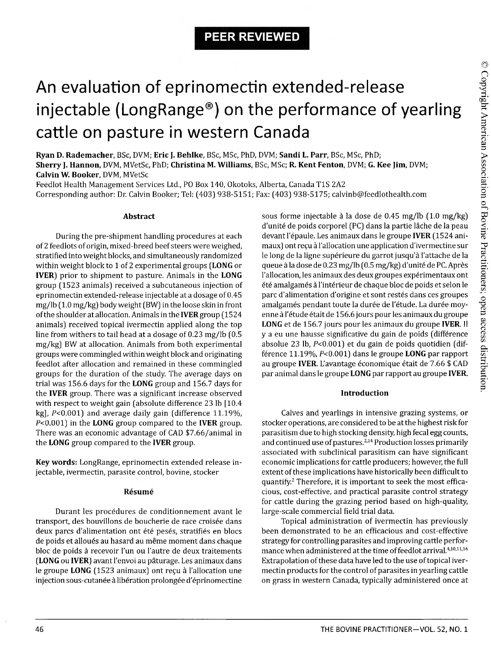# An evaluation of eprinomectin extended-release injectable (LongRange®) on the performance of yearling cattle on pasture in western Canada

**Ryan D. Rademacher,** BSc, DVM; **Eric J. Behlke,** BSc, MSc, PhD, DVM; **Sandi L. Parr,** BSc, MSc, PhD; **Sherry J. Hannon,** DVM, MVetSc, PhD; **Christina M. Williams,** BSc, MSc; **R. Kent Fenton,** DVM; **G. Kee Jim,** DVM; **Calvin W. Booker,** DVM, MVetSc

Feedlot Health Management Services Ltd., PO Box 140, Okotoks, Alberta, Canada T1S 2A2 Corresponding author: Dr. Calvin Booker; Tel: (403) 938-5151; Fax: (403) 938-5175; [calvinb@feedlothealth.com](mailto:calvinb@feedlothealth.com)

## **Abstract**

During the pre-shipment handling procedures at each of 2 feedlots of origin, mixed-breed beef steers were weighed, stratified into weight blocks, and simultaneously randomized within weight block to 1 of 2 experimental groups **(LONG** or **IVER)** prior to shipment to pasture. Animals in the **LONG** group (1523 animals) received a subcutaneous injection of eprinomectin extended-release injectable at a dosage of 0.45 mg/lb (1.0 mg/kg) body weight (BW) in the loose skin in front of the shoulder at allocation. Animals in the **IVER** group (1524 animals) received topical ivermectin applied along the top line from withers to tail head at a dosage of 0.23 mg/lb (0.5 mg/kg) BW at allocation. Animals from both experimental groups were commingled within weight block and originating feedlot after allocation and remained in these commingled groups for the duration of the study. The average days on trial was 156.6 days for the **LONG** group and 156.7 days for the **IVER** group. There was a significant increase observed with respect to weight gain (absolute difference 23 lb [10.4 kg],  $P<0.001$  and average daily gain (difference 11.19%, P<0.001) in the **LONG** group compared to the **IVER** group. There was an economic advantage of CAD \$7.66/animal in the **LONG** group compared to the **IVER** group.

**Key words:** LongRange, eprinomectin extended release injectable, ivermectin, parasite control, bovine, stocker

## **Resume**

Durant les procedures de conditionnement avant le transport, des bouvillons de boucherie de race croisée dans deux parcs d'alimentation ont été pesés, stratifiés en blocs de poids et alloués au hasard au même moment dans chaque bloc de poids a recevoir l'un ou l'autre de deux traitements **(LONG** ou **IVER)** avant l'envoi au paturage. Les animaux dans le groupe LONG (1523 animaux) ont reçu à l'allocation une injection sous-cutanée à libération prolongée d'éprinomectine

sous forme injectable à la dose de 0.45 mg/lb (1.0 mg/kg) d'unité de poids corporel (PC) dans la partie lâche de la peau devant l'epaule. Les animaux dans le groupe **IVER** (1524 animaux) ont reçu à l'allocation une application d'ivermectine sur le long de la ligne supérieure du garrot jusqu'à l'attache de la queue a la dose de 0.23 mg/lb (0.5 mg/kg) d'unite de PC. Apres l'allocation, les animaux des deux groupes expérimentaux ont été amalgamés à l'intérieur de chaque bloc de poids et selon le parc d'alimentation d'origine et sont restés dans ces groupes amalgamés pendant toute la durée de l'étude. La durée moyenne à l'étude était de 156.6 jours pour les animaux du groupe **LONG** et de 156.7 jours pour les animaux du groupe **IVER.** II y a eu une hausse significative du gain de poids (difference absolue 23 lb, P<0.001) et du gain de poids quotidien (difference 11.19%, P<0.001) dans le groupe **LONG** par rapport au groupe **IVER**. L'avantage économique était de 7.66 \$ CAD par animal dans le groupe **LONG** par rapport au groupe **IVER.**

## **Introduction**

Calves and yearlings in intensive grazing systems, or stocker operations, are considered to be at the highest risk for parasitism due to high stocking density, high fecal egg counts, and continued use of pastures.<sup>2,14</sup> Production losses primarily associated with subclinical parasitism can have significant economic implications for cattle producers; however, the full extent of these implications have historically been difficult to quantify.2 Therefore, it is important to seek the most efficacious, cost-effective, and practical parasite control strategy for cattle during the grazing period based on high-quality, large-scale commercial field trial data.

Topical administration of ivermectin has previously been demonstrated to be an efficacious and cost-effective strategy for controlling parasites and improving cattle performance when administered at the time of feedlot arrival.410,1116 Extrapolation of these data have led to the use of topical ivermectin products for the control of parasites in yearling cattle on grass in western Canada, typically administered once at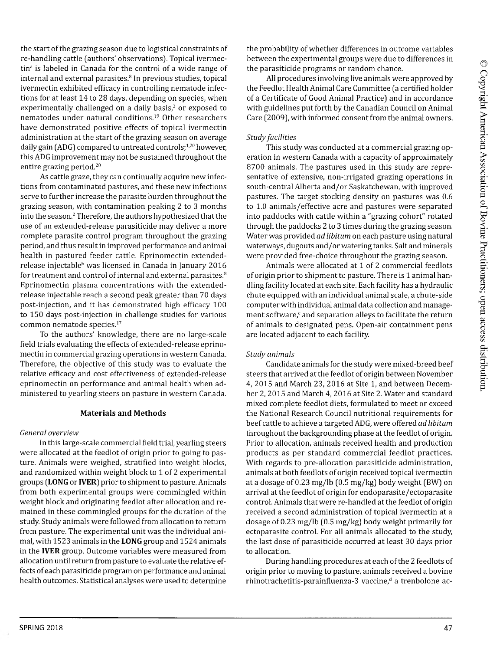the start of the grazing season due to logistical constraints of re-handling cattle (authors' observations). Topical ivermectin<sup>a</sup> is labeled in Canada for the control of a wide range of internal and external parasites.<sup>8</sup> In previous studies, topical ivermectin exhibited efficacy in controlling nematode infections for at least 14 to 28 days, depending on species, when experimentally challenged on a daily basis,<sup>3</sup> or exposed to nematodes under natural conditions.19 Other researchers have demonstrated positive effects of topical ivermectin administration at the start of the grazing season on average daily gain (ADG) compared to untreated controls;<sup>1,20</sup> however, this ADG improvement may not be sustained throughout the entire grazing period.20

As cattle graze, they can continually acquire new infections from contaminated pastures, and these new infections serve to further increase the parasite burden throughout the grazing season, with contamination peaking 2 to 3 months into the season.2 Therefore, the authors hypothesized that the use of an extended-release parasiticide may deliver a more complete parasite control program throughout the grazing period, and thus result in improved performance and animal health in pastured feeder cattle. Eprinomectin extendedrelease injectable<sup>b</sup> was licensed in Canada in January 2016 for treatment and control of internal and external parasites.<sup>8</sup> Eprinomectin plasma concentrations with the extendedrelease injectable reach a second peak greater than 70 days post-injection, and it has demonstrated high efficacy 100 to 150 days post-injection in challenge studies for various common nematode species.17

To the authors' knowledge, there are no large-scale field trials evaluating the effects of extended-release eprinomectin in commercial grazing operations in western Canada. Therefore, the objective of this study was to evaluate the relative efficacy and cost effectiveness of extended-release eprinomectin on performance and animal health when administered to yearling steers on pasture in western Canada.

## **Materials and Methods**

## *General overview*

In this large-scale commercial field trial, yearling steers were allocated at the feedlot of origin prior to going to pasture. Animals were weighed, stratified into weight blocks, and randomized within weight block to 1 of 2 experimental groups **(LONG** or **IVER)** prior to shipment to pasture. Animals from both experimental groups were commingled within weight block and originating feedlot after allocation and remained in these commingled groups for the duration of the study. Study animals were followed from allocation to return from pasture. The experimental unit was the individual animal, with 1523 animals in the **LONG** group and 1524 animals in the **IVER** group. Outcome variables were measured from allocation until return from pasture to evaluate the relative effects of each parasiticide program on performance and animal health outcomes. Statistical analyses were used to determine

the probability of whether differences in outcome variables between the experimental groups were due to differences in the parasiticide programs or random chance.

All procedures involving live animals were approved by the Feedlot Health Animal Care Committee (a certified holder of a Certificate of Good Animal Practice) and in accordance with guidelines put forth by the Canadian Council on Animal Care (2009), with informed consent from the animal owners.

# *Study facilities*

This study was conducted at a commercial grazing operation in western Canada with a capacity of approximately 8700 animals. The pastures used in this study are representative of extensive, non-irrigated grazing operations in south-central Alberta and/or Saskatchewan, with improved pastures. The target stocking density on pastures was 0.6 to 1.0 animals/effective acre and pastures were separated into paddocks with cattle within a "grazing cohort" rotated through the paddocks 2 to 3 times during the grazing season. Water was provided *ad libitum* on each pasture using natural waterways, dugouts and/or watering tanks. Salt and minerals were provided free-choice throughout the grazing season.

Animals were allocated at 1 of 2 commercial feedlots of origin prior to shipment to pasture. There is 1 animal handling facility located at each site. Each facility has a hydraulic chute equipped with an individual animal scale, a chute-side computer with individual animal data collection and management software, $c$  and separation alleys to facilitate the return of animals to designated pens. Open-air containment pens are located adjacent to each facility.

## *Study animals*

Candidate animals for the study were mixed-breed beef steers that arrived at the feedlot of origin between November 4, 2015 and March 23, 2016 at Site 1, and between December 2, 2015 and March 4, 2016 at Site 2. Water and standard mixed complete feedlot diets, formulated to meet or exceed the National Research Council nutritional requirements for beef cattle to achieve a targeted ADG, were offered *ad libitum* throughout the backgrounding phase at the feedlot of origin. Prior to allocation, animals received health and production products as per standard commercial feedlot practices. With regards to pre-allocation parasiticide administration, animals at both feedlots of origin received topical ivermectin at a dosage of 0.23 mg/lb (0.5 mg/kg) body weight (BW) on arrival at the feedlot of origin for endoparasite/ectoparasite control. Animals that were re-handled at the feedlot of origin received a second administration of topical ivermectin at a dosage of 0.23 mg/lb (0.5 mg/kg) body weight primarily for ectoparasite control. For all animals allocated to the study, the last dose of parasiticide occurred at least 30 days prior to allocation.

During handling procedures at each of the 2 feedlots of origin prior to moving to pasture, animals received a bovine rhinotrachetitis-parainfluenza-3 vaccine,<sup>d</sup> a trenbolone ac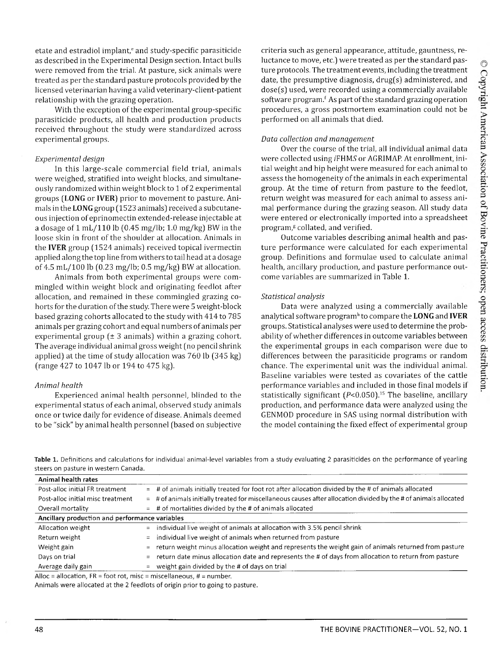etate and estradiol implant,<sup>e</sup> and study-specific parasiticide as described in the Experimental Design section. Intact bulls were removed from the trial. At pasture, sick animals were treated as per the standard pasture protocols provided by the licensed veterinarian having a valid veterinary-client-patient relationship with the grazing operation.

With the exception of the experimental group-specific parasiticide products, all health and production products received throughout the study were standardized across experimental groups.

## *Experimental design*

In this large-scale commercial field trial, animals were weighed, stratified into weight blocks, and simultaneously randomized within weight block to 1 of 2 experimental groups **(LONG** or **IVER)** prior to movement to pasture. Animals in the **LONG** group (1523 animals) received a subcutaneous injection of eprinomectin extended-release injectable at a dosage of  $1 \text{ mL} / 110 \text{ lb}$  (0.45 mg/lb; 1.0 mg/kg) BW in the loose skin in front of the shoulder at allocation. Animals in the **IVER** group (1524 animals) received topical ivermectin applied along the top line from withers to tail head at a dosage of 4.5 mL/100 lb (0.23 mg/lb; 0.5 mg/kg) BW at allocation.

Animals from both experimental groups were commingled within weight block and originating feedlot after allocation, and remained in these commingled grazing cohorts for the duration of the study. There were 5 weight-block based grazing cohorts allocated to the study with 414 to 785 animals per grazing cohort and equal numbers of animals per experimental group  $(\pm 3 \text{ animals})$  within a grazing cohort. The average individual animal gross weight (no pencil shrink applied) at the time of study allocation was 760 lb (345 kg) (range 427 to 1047 lb or 194 to 475 kg).

## *Animal health*

Experienced animal health personnel, blinded to the experimental status of each animal, observed study animals once or twice daily for evidence of disease. Animals deemed to be "sick" by animal health personnel (based on subjective criteria such as general appearance, attitude, gauntness, reluctance to move, etc.) were treated as per the standard pasture protocols. The treatment events, including the treatment date, the presumptive diagnosis, drug(s) administered, and dose(s) used, were recorded using a commercially available software program.<sup>f</sup> As part of the standard grazing operation procedures, a gross postmortem examination could not be performed on all animals that died.

## *Data collection and m anagem ent*

Over the course of the trial, all individual animal data were collected using *iFHMS* or AGRIMAP. At enrollment, initial weight and hip height were measured for each animal to assess the homogeneity of the animals in each experimental group. At the time of return from pasture to the feedlot, return weight was measured for each animal to assess animal performance during the grazing season. All study data were entered or electronically imported into a spreadsheet program,<sup>g</sup> collated, and verified.

Outcome variables describing animal health and pasture performance were calculated for each experimental group. Definitions and formulae used to calculate animal health, ancillary production, and pasture performance outcome variables are summarized in Table 1.

## *Statistical analysis*

Data were analyzed using a commercially available analytical software program<sup>h</sup> to compare the **LONG** and **IVER** groups. Statistical analyses were used to determine the probability of whether differences in outcome variables between the experimental groups in each comparison were due to differences between the parasiticide programs or random chance. The experimental unit was the individual animal. Baseline variables were tested as covariates of the cattle performance variables and included in those final models if statistically significant ( $P$ <0.050).<sup>15</sup> The baseline, ancillary production, and performance data were analyzed using the GENMOD procedure in SAS using normal distribution with the model containing the fixed effect of experimental group

**Table 1.** Definitions and calculations for individual animal-level variables from a study evaluating 2 parasiticides on the performance of yearling steers on pasture in western Canada.

| Animal health rates                            |     |                                                                                                                    |
|------------------------------------------------|-----|--------------------------------------------------------------------------------------------------------------------|
| Post-alloc initial FR treatment                |     | $=$ # of animals initially treated for foot rot after allocation divided by the # of animals allocated             |
| Post-alloc initial misc treatment              |     | $=$ # of animals initially treated for miscellaneous causes after allocation divided by the # of animals allocated |
| Overall mortality                              |     | $\pm$ # of mortalities divided by the # of animals allocated                                                       |
| Ancillary production and performance variables |     |                                                                                                                    |
| Allocation weight                              |     | $=$ individual live weight of animals at allocation with 3.5% pencil shrink                                        |
| Return weight                                  |     | $=$ individual live weight of animals when returned from pasture                                                   |
| Weight gain                                    | $=$ | return weight minus allocation weight and represents the weight gain of animals returned from pasture              |
| Days on trial                                  | $=$ | return date minus allocation date and represents the # of days from allocation to return from pasture              |
| Average daily gain                             | $=$ | weight gain divided by the # of days on trial                                                                      |
|                                                |     |                                                                                                                    |

Alloc = allocation,  $FR =$  foot rot, misc = miscellaneous,  $# =$  number.

Animals were allocated at the 2 feedlots of origin prior to going to pasture.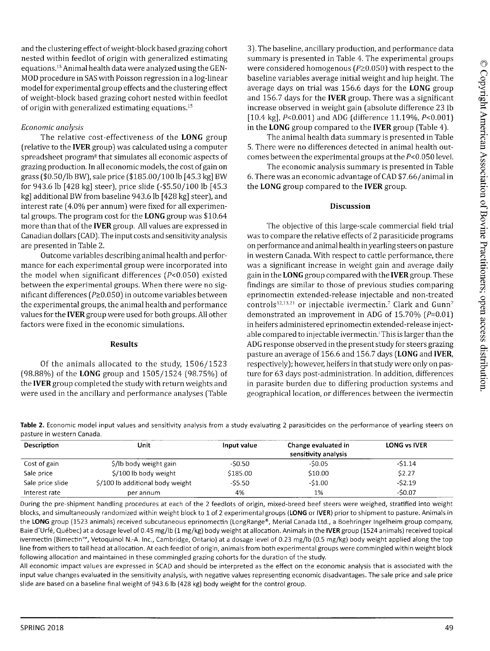and the clustering effect of weight-block based grazing cohort nested within feedlot of origin with generalized estimating equations.15 Animal health data were analyzed using the GEN-MOD procedure in SAS with Poisson regression in a log-linear model for experimental group effects and the clustering effect of weight-block based grazing cohort nested within feedlot of origin with generalized estimating equations.<sup>15</sup>

## *Economic analysis*

The relative cost-effectiveness of the **LONG** group (relative to the **IVER** group) was calculated using a computer spreadsheet program<sup>g</sup> that simulates all economic aspects of grazing production. In all economic models, the cost of gain on grass (\$0.50/lb BW), sale price (\$185.00/100 lb [45.3 kg] BW for 943.6 lb [428 kg] steer), price slide (-\$5.50/100 lb [45.3 kg] additional BW from baseline 943.6 lb [428 kg] steer), and interest rate (4.0% per annum) were fixed for all experimental groups. The program cost for the **LONG** group was \$10.64 more than that of the **IVER** group. All values are expressed in Canadian dollars (CAD). The input costs and sensitivity analysis are presented in Table 2.

Outcome variables describing animal health and performance for each experimental group were incorporated into the model when significant differences (P<0.050) existed between the experimental groups. When there were no significant differences ( $P \ge 0.050$ ) in outcome variables between the experimental groups, the animal health and performance values for the **IVER** group were used for both groups. All other factors were fixed in the economic simulations.

## **Results**

Of the animals allocated to the study, 1506/1523 (98.88% ) of the **LONG** group and 1505/1524 (98.75% ) of the **IVER** group completed the study with return weights and were used in the ancillary and performance analyses (Table

3). The baseline, ancillary production, and performance data summary is presented in Table 4. The experimental groups were considered homogenous ( $P\geq0.050$ ) with respect to the baseline variables average initial weight and hip height. The average days on trial was 156.6 days for the **LONG** group and 156.7 days for the **IVER** group. There was a significant increase observed in weight gain (absolute difference 23 lb [10.4 kg], P<0.001) and ADG (difference 11.19%, P<0.001) in the **LONG** group compared to the **IVER** group (Table 4).

The animal health data summary is presented in Table 5. There were no differences detected in animal health outcomes between the experimental groups at the  $P<0.050$  level.

The economic analysis summary is presented in Table 6. There was an economic advantage of CAD \$7.66/animal in the **LONG** group compared to the **IVER** group.

## **Discussion**

The objective of this large-scale commercial field trial was to compare the relative effects of 2 parasiticide programs on performance and animal health in yearling steers on pasture in western Canada. With respect to cattle performance, there was a significant increase in weight gain and average daily gain in the **LONG** group compared with the **IVER** group. These findings are similar to those of previous studies comparing eprinomectin extended-release injectable and non-treated controls<sup>12,13,21</sup> or injectable ivermectin.<sup>7</sup> Clark and Gunn<sup>7</sup> demonstrated an improvement in ADG of 15.70%  $(P=0.01)$ in heifers administered eprinomectin extended-release injectable compared to injectable ivermectin.<sup>†</sup> This is larger than the ADG response observed in the present study for steers grazing pasture an average of 156.6 and 156.7 days **(LONG** and **IVER,** respectively); however, heifers in that study were only on pasture for 63 days post-administration. In addition, differences in parasite burden due to differing production systems and geographical location, or differences between the ivermectin

**Table 2.** Economic model input values and sensitivity analysis from a study evaluating 2 parasiticides on the performance of yearling steers on pasture in western Canada.

| Description      | Unit                             | Input value | Change evaluated in<br>sensitivity analysis | <b>LONG vs IVER</b> |
|------------------|----------------------------------|-------------|---------------------------------------------|---------------------|
| Cost of gain     | \$/lb body weight gain           | -\$0.50     | $-50.05$                                    | $-51.14$            |
| Sale price       | \$/100 lb body weight            | \$185.00    | \$10.00                                     | \$2.27              |
| Sale price slide | \$/100 lb additional body weight | $-55.50$    | $-51.00$                                    | $-52.19$            |
| Interest rate    | per annum                        | 4%          | 1%                                          | $-50.07$            |

During the pre-shipment handling procedures at each of the 2 feedlots of origin, mixed-breed beef steers were weighed, stratified into weight blocks, and simultaneously randomized within weight block to 1 of 2 experimental groups **(LONG** or **IVER)** prior to shipment to pasture. Animals in the **LONG** group (1523 animals) received subcutaneous eprinomectin (LongRange®, Merial Canada Ltd., a Boehringer Ingelheim group company, Baie d'Urfe, Quebec) at a dosage level of 0.45 mg/lb (1 mg/kg) body weight at allocation. Animals in the **IVER** group (1524 animals) received topical ivermectin (Bimectin™, Vetoquinol N.-A. Inc., Cambridge, Ontario) at a dosage level of 0.23 mg/lb (0.5 mg/kg) body weight applied along the top line from withers to tail head at allocation. At each feedlot of origin, animals from both experimental groups were commingled within weight block following allocation and maintained in these commingled grazing cohorts for the duration of the study.

All economic impact values are expressed in \$CAD and should be interpreted as the effect on the economic analysis that is associated with the input value changes evaluated in the sensitivity analysis, with negative values representing economic disadvantages. The sale price and sale price slide are based on a baseline final weight of 943.6 lb (428 kg) body weight for the control group.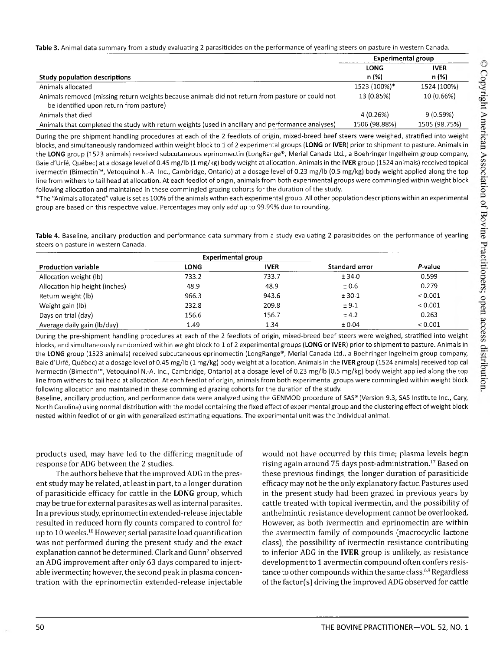Table 3. Animal data summary from a study evaluating 2 parasiticides on the performance of yearling steers on pasture in western Canada.

|                                                                                                                                             | <b>Experimental group</b> |               |
|---------------------------------------------------------------------------------------------------------------------------------------------|---------------------------|---------------|
|                                                                                                                                             | LONG                      | <b>IVER</b>   |
| Study population descriptions                                                                                                               | n (%)                     | n (%)         |
| Animals allocated                                                                                                                           | 1523 (100%)*              | 1524 (100%)   |
| Animals removed (missing return weights because animals did not return from pasture or could not<br>be identified upon return from pasture) | 13 (0.85%)                | 10 (0.66%)    |
| Animals that died                                                                                                                           | 4 (0.26%)                 | 9(0.59%)      |
| Animals that completed the study with return weights (used in ancillary and performance analyses)                                           | 1506 (98.88%)             | 1505 (98.75%) |

During the pre-shipment handling procedures at each of the 2 feedlots of origin, mixed-breed beef steers were weighed, stratified into weight blocks, and simultaneously randomized within weight block to 1 of 2 experimental groups **(LONG** or **IVER)** prior to shipment to pasture. Animals in the **LONG** group (1523 animals) received subcutaneous eprinomectin (LongRange®, Merial Canada Ltd., a Boehringer Ingelheim group company, Baie d'Urfe, Quebec) at a dosage level of 0.45 mg/lb (1 mg/kg) body weight at allocation. Animals in the **IVER** group (1524 animals) received topical ivermectin (Bimectin™, Vetoquinol N.-A. Inc., Cambridge, Ontario) at a dosage level of 0.23 mg/lb (0.5 mg/kg) body weight applied along the top line from withers to tail head at allocation. At each feedlot of origin, animals from both experimental groups were commingled within weight block following allocation and maintained in these commingled grazing cohorts for the duration of the study.

\*The "Animals allocated" value is set as 100% of the animals within each experimental group. All other population descriptions within an experimental group are based on this respective value. Percentages may only add up to 99.99% due to rounding.

**Table 4.** Baseline, ancillary production and performance data summary from a study evaluating 2 parasiticides on the performance of yearling steers on pasture in western Canada.

|                                | <b>Experimental group</b> |             |                |         |
|--------------------------------|---------------------------|-------------|----------------|---------|
| <b>Production variable</b>     | <b>LONG</b>               | <b>IVER</b> | Standard error | P-value |
| Allocation weight (lb)         | 733.2                     | 733.7       | ± 34.0         | 0.599   |
| Allocation hip height (inches) | 48.9                      | 48.9        | ±0.6           | 0.279   |
| Return weight (lb)             | 966.3                     | 943.6       | ± 30.1         | < 0.001 |
| Weight gain (lb)               | 232.8                     | 209.8       | ± 9.1          | < 0.001 |
| Days on trial (day)            | 156.6                     | 156.7       | ± 4.2          | 0.263   |
| Average daily gain (lb/day)    | 1.49                      | 1.34        | ± 0.04         | < 0.001 |

During the pre-shipment handling procedures at each of the 2 feedlots of origin, mixed-breed beef steers were weighed, stratified into weight blocks, and simultaneously randomized within weight block to 1 of 2 experimental groups **(LONG** or **IVER)** prior to shipment to pasture. Animals in the **LONG** group (1523 animals) received subcutaneous eprinomectin (LongRange®, Merial Canada Ltd., a Boehringer Ingelheim group company, Baie d'Urfe, Quebec) at a dosage level of 0.45 mg/lb (1 mg/kg) body weight at allocation. Animals in the **IVER** group (1524 animals) received topical ivermectin (Bimectin™, Vetoquinol N.-A. Inc., Cambridge, Ontario) at a dosage level of 0.23 mg/lb (0.5 mg/kg) body weight applied along the top line from withers to tail head at allocation. At each feedlot of origin, animals from both experimental groups were commingled within weight block following allocation and maintained in these commingled grazing cohorts for the duration of the study.

Baseline, ancillary production, and performance data were analyzed using the GENMOD procedure of SAS® (Version 9.3, SAS Institute Inc., Cary, North Carolina) using normal distribution with the model containing the fixed effect of experimental group and the clustering effect of weight block nested within feedlot of origin with generalized estimating equations. The experimental unit was the individual animal.

products used, may have led to the differing magnitude of response for ADG between the 2 studies.

The authors believe that the improved ADG in the present study may be related, at least in part, to a longer duration of parasiticide efficacy for cattle in the **LONG** group, which may be true for external parasites as well as internal parasites. In a previous study, eprinomectin extended-release injectable resulted in reduced horn fly counts compared to control for up to 10 weeks.<sup>18</sup> However, serial parasite load quantification was not performed during the present study and the exact explanation cannot be determined. Clark and Gunn<sup>7</sup> observed an ADG improvement after only 63 days compared to injectable ivermectin; however, the second peak in plasma concentration with the eprinomectin extended-release injectable would not have occurred by this time; plasma levels begin rising again around 75 days post-administration.<sup>17</sup> Based on these previous findings, the longer duration of parasiticide efficacy may not be the only explanatory factor. Pastures used in the present study had been grazed in previous years by cattle treated with topical ivermectin, and the possibility of anthelmintic resistance development cannot be overlooked. However, as both ivermectin and eprinomectin are within the avermectin family of compounds (macrocyclic lactone class], the possibility of ivermectin resistance contributing to inferior ADG in the **IVER** group is unlikely, as resistance development to 1 avermectin compound often confers resistance to other compounds within the same class.<sup>6,9</sup> Regardless of the factor(s) driving the improved ADG observed for cattle

© Copyright American Association of Bovine Practitioners; open access distribution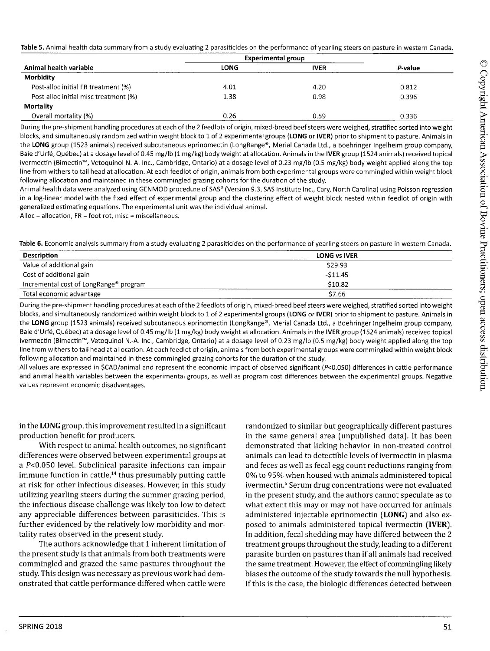|                                       | <b>Experimental group</b> |             |         |
|---------------------------------------|---------------------------|-------------|---------|
| Animal health variable                | LONG                      | <b>IVER</b> | P-value |
| Morbidity                             |                           |             |         |
| Post-alloc initial FR treatment (%)   | 4.01                      | 4.20        | 0.812   |
| Post-alloc initial misc treatment (%) | 1.38                      | 0.98        | 0.396   |
| <b>Mortality</b>                      |                           |             |         |
| Overall mortality (%)                 | 0.26                      | 0.59        | 0.336   |

During the pre-shipment handling procedures at each of the 2feedlots of origin, mixed-breed beef steers were weighed, stratified sorted into weight blocks, and simultaneously randomized within weight block to 1 of 2 experimental groups **(LONG** or **IVER)** prior to shipment to pasture. Animals in the **LONG** group (1523 animals) received subcutaneous eprinomectin (LongRange®, Merial Canada Ltd., a Boehringer Ingelheim group company, Baie d'Urfe, Quebec) at a dosage level of 0.45 mg/lb (1 mg/kg) body weight at allocation. Animals in the **IVER** group (1524 animals) received topical ivermectin (Bimectin™, Vetoquinol N.-A. Inc., Cambridge, Ontario) at a dosage level of 0.23 mg/lb (0.5 mg/kg) body weight applied along the top line from withers to tail head at allocation. At each feedlot of origin, animals from both experimental groups were commingled within weight block following allocation and maintained in these commingled grazing cohorts for the duration of the study.

Animal health data were analyzed using GENMOD procedure of SAS® (Version 9.3, SAS Institute Inc., Cary, North Carolina) using Poisson regression in a log-linear model with the fixed effect of experimental group and the clustering effect of weight block nested within feedlot of origin with generalized estimating equations. The experimental unit was the individual animal.

Alloc = allocation, FR = foot rot, misc = miscellaneous.

**Table** 6. Economic analysis summary from a study evaluating 2 parasiticides on the performance of yearling steers on pasture in western Canada.

| <b>Description</b>                                 | <b>LONG vs IVER</b> |
|----------------------------------------------------|---------------------|
| Value of additional gain                           | \$29.93             |
| Cost of additional gain                            | $-511.45$           |
| Incremental cost of LongRange <sup>®</sup> program | $-510.82$           |
| Total economic advantage                           | \$7.66              |

During the pre-shipment handling procedures at each of the 2 feedlots of origin, mixed-breed beef steers were weighed, stratified sorted into weight blocks, and simultaneously randomized within weight block to 1 of 2 experimental groups **(LONG** or **IVER)** prior to shipment to pasture. Animals in the **LONG** group (1523 animals) received subcutaneous eprinomectin (LongRange®, Merial Canada Ltd., a Boehringer Ingelheim group company, Baie d'Urfe, Quebec) at a dosage level of 0.45 mg/lb (1 mg/kg) body weight at allocation. Animals in the **IVER** group (1524 animals) received topical ivermectin (Bimectin™, Vetoquinol N.-A. Inc., Cambridge, Ontario) at a dosage level of 0.23 mg/lb (0.5 mg/kg) body weight applied along the top line from withers to tail head at allocation. At each feedlot of origin, animals from both experimental groups were commingled within weight block following allocation and maintained in these commingled grazing cohorts for the duration of the study.

All values are expressed in \$CAD/animal and represent the economic impact of observed significant (P<0.050) differences in cattle performance and animal health variables between the experimental groups, as well as program cost differences between the experimental groups. Negative values represent economic disadvantages.

in the **LONG** group, this improvement resulted in a significant production benefit for producers.

With respect to animal health outcomes, no significant differences were observed between experimental groups at a P<0.050 level. Subclinical parasite infections can impair immune function in cattle, $14$  thus presumably putting cattle at risk for other infectious diseases. However, in this study utilizing yearling steers during the summer grazing period, the infectious disease challenge was likely too low to detect any appreciable differences between parasiticides. This is further evidenced by the relatively low morbidity and mortality rates observed in the present study.

The authors acknowledge that 1 inherent limitation of the present study is that animals from both treatments were commingled and grazed the same pastures throughout the study. This design was necessary as previous work had demonstrated that cattle performance differed when cattle were

randomized to similar but geographically different pastures in the same general area [unpublished data). It has been demonstrated that licking behavior in non-treated control animals can lead to detectible levels of ivermectin in plasma and feces as well as fecal egg count reductions ranging from 0% to 95% when housed with animals administered topical ivermectin.<sup>5</sup> Serum drug concentrations were not evaluated in the present study, and the authors cannot speculate as to what extent this may or may not have occurred for animals administered injectable eprinomectin **(LONG)** and also exposed to animals administered topical ivermectin **[IVER).** In addition, fecal shedding may have differed between the 2 treatment groups throughout the study, leading to a different parasite burden on pastures than if all animals had received the same treatment. However, the effect of commingling likely biases the outcome of the study towards the null hypothesis. If this is the case, the biologic differences detected between